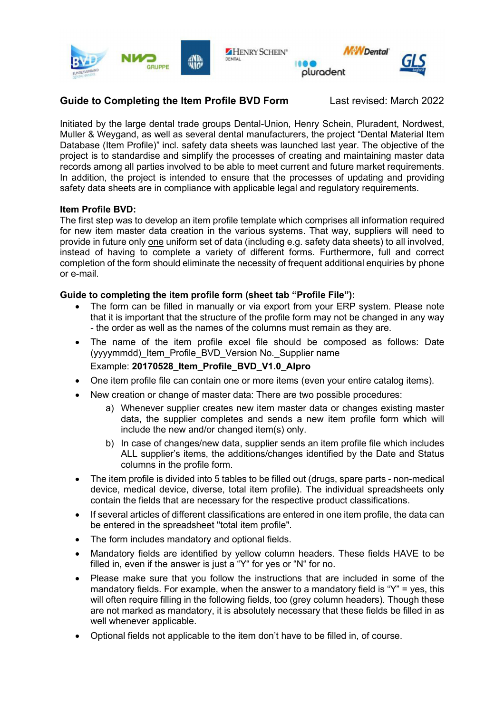

## **Guide to Completing the Item Profile BVD Form** Last revised: March 2022

Initiated by the large dental trade groups Dental-Union, Henry Schein, Pluradent, Nordwest, Muller & Weygand, as well as several dental manufacturers, the project "Dental Material Item Database (Item Profile)" incl. safety data sheets was launched last year. The objective of the project is to standardise and simplify the processes of creating and maintaining master data records among all parties involved to be able to meet current and future market requirements. In addition, the project is intended to ensure that the processes of updating and providing safety data sheets are in compliance with applicable legal and regulatory requirements.

## **Item Profile BVD:**

The first step was to develop an item profile template which comprises all information required for new item master data creation in the various systems. That way, suppliers will need to provide in future only one uniform set of data (including e.g. safety data sheets) to all involved, instead of having to complete a variety of different forms. Furthermore, full and correct completion of the form should eliminate the necessity of frequent additional enquiries by phone or e-mail.

## **Guide to completing the item profile form (sheet tab "Profile File"):**

- The form can be filled in manually or via export from your ERP system. Please note that it is important that the structure of the profile form may not be changed in any way - the order as well as the names of the columns must remain as they are.
- The name of the item profile excel file should be composed as follows: Date (yyyymmdd)\_Item\_Profile\_BVD\_Version No.\_Supplier name Example: **20170528\_Item\_Profile\_BVD\_V1.0\_Alpro**
- One item profile file can contain one or more items (even your entire catalog items).
- New creation or change of master data: There are two possible procedures:
	- a) Whenever supplier creates new item master data or changes existing master data, the supplier completes and sends a new item profile form which will include the new and/or changed item(s) only.
	- b) In case of changes/new data, supplier sends an item profile file which includes ALL supplier's items, the additions/changes identified by the Date and Status columns in the profile form.
- The item profile is divided into 5 tables to be filled out (drugs, spare parts non-medical device, medical device, diverse, total item profile). The individual spreadsheets only contain the fields that are necessary for the respective product classifications.
- If several articles of different classifications are entered in one item profile, the data can be entered in the spreadsheet "total item profile".
- The form includes mandatory and optional fields.
- Mandatory fields are identified by yellow column headers. These fields HAVE to be filled in, even if the answer is just a "Y" for yes or "N" for no.
- Please make sure that you follow the instructions that are included in some of the mandatory fields. For example, when the answer to a mandatory field is "Y" = yes, this will often require filling in the following fields, too (grey column headers). Though these are not marked as mandatory, it is absolutely necessary that these fields be filled in as well whenever applicable.
- Optional fields not applicable to the item don't have to be filled in, of course.